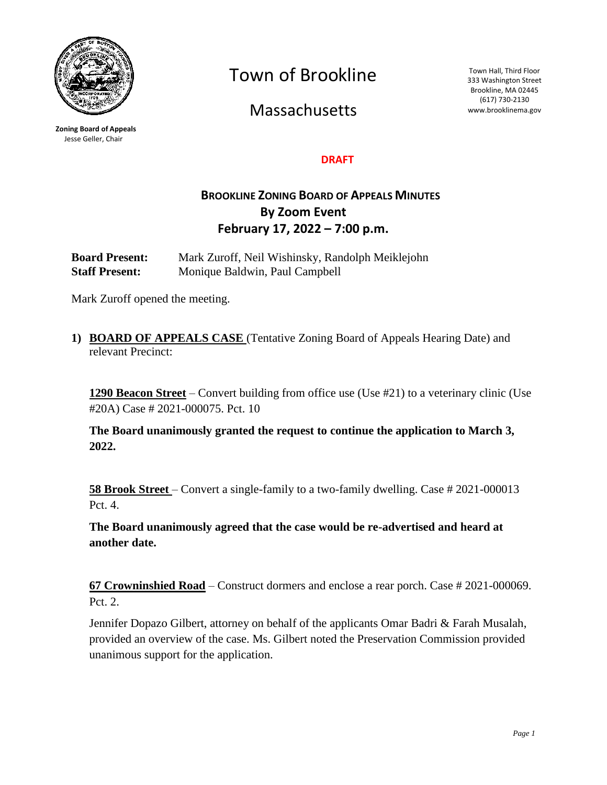

**Zoning Board of Appeals** Jesse Geller, Chair

Town of Brookline

Massachusetts

Town Hall, Third Floor 333 Washington Street Brookline, MA 02445 (617) 730-2130 www.brooklinema.gov

## **DRAFT**

## **BROOKLINE ZONING BOARD OF APPEALS MINUTES By Zoom Event February 17, 2022 – 7:00 p.m.**

**Board Present:** Mark Zuroff, Neil Wishinsky, Randolph Meiklejohn **Staff Present:** Monique Baldwin, Paul Campbell

Mark Zuroff opened the meeting.

**1) BOARD OF APPEALS CASE** (Tentative Zoning Board of Appeals Hearing Date) and relevant Precinct:

**1290 Beacon Street** – Convert building from office use (Use #21) to a veterinary clinic (Use #20A) Case # 2021-000075. Pct. 10

**The Board unanimously granted the request to continue the application to March 3, 2022.**

**58 Brook Street** – Convert a single-family to a two-family dwelling. Case # 2021-000013 Pct. 4.

**The Board unanimously agreed that the case would be re-advertised and heard at another date.**

**67 Crowninshied Road** – Construct dormers and enclose a rear porch. Case # 2021-000069. Pct. 2.

Jennifer Dopazo Gilbert, attorney on behalf of the applicants Omar Badri & Farah Musalah, provided an overview of the case. Ms. Gilbert noted the Preservation Commission provided unanimous support for the application.